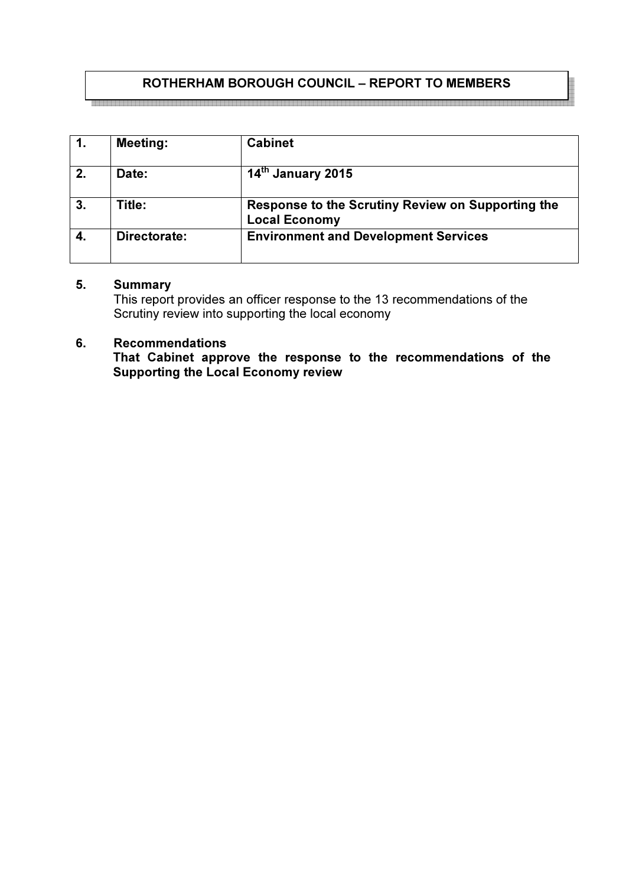# ROTHERHAM BOROUGH COUNCIL – REPORT TO MEMBERS

|    | <b>Meeting:</b> | <b>Cabinet</b>                                                            |
|----|-----------------|---------------------------------------------------------------------------|
| 2. | Date:           | $14tn$ January 2015                                                       |
| 3. | Title:          | Response to the Scrutiny Review on Supporting the<br><b>Local Economy</b> |
| 4. | Directorate:    | <b>Environment and Development Services</b>                               |

#### 5. Summary

This report provides an officer response to the 13 recommendations of the Scrutiny review into supporting the local economy

### 6. Recommendations

That Cabinet approve the response to the recommendations of the Supporting the Local Economy review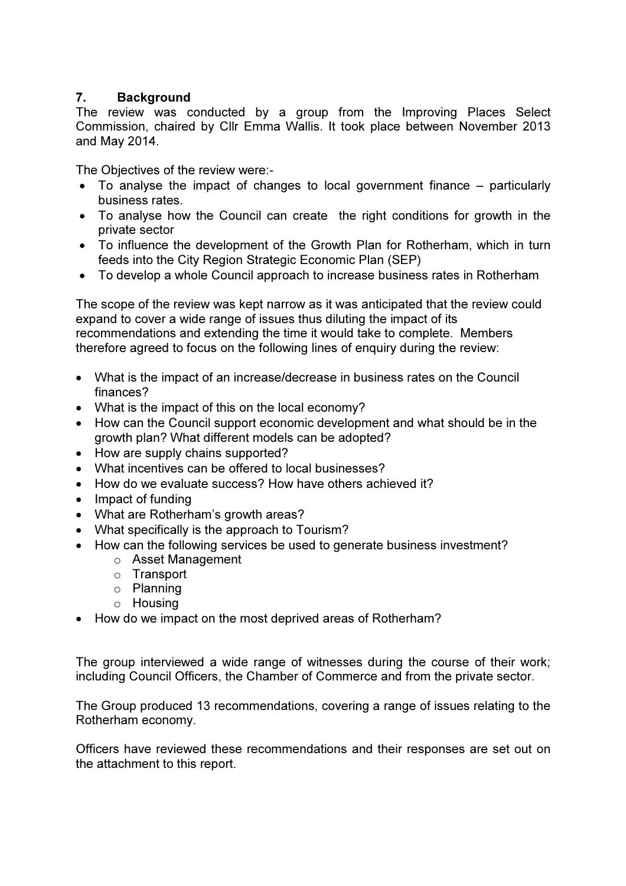### 7. Background

The review was conducted by a group from the Improving Places Select Commission, chaired by Cllr Emma Wallis. It took place between November 2013 and May 2014.

The Objectives of the review were:-

- To analyse the impact of changes to local government finance particularly business rates.
- To analyse how the Council can create the right conditions for growth in the private sector
- To influence the development of the Growth Plan for Rotherham, which in turn feeds into the City Region Strategic Economic Plan (SEP)
- To develop a whole Council approach to increase business rates in Rotherham

The scope of the review was kept narrow as it was anticipated that the review could expand to cover a wide range of issues thus diluting the impact of its recommendations and extending the time it would take to complete. Members therefore agreed to focus on the following lines of enquiry during the review:

- What is the impact of an increase/decrease in business rates on the Council finances?
- What is the impact of this on the local economy?
- How can the Council support economic development and what should be in the growth plan? What different models can be adopted?
- How are supply chains supported?
- What incentives can be offered to local businesses?
- How do we evaluate success? How have others achieved it?
- Impact of funding
- What are Rotherham's growth areas?
- What specifically is the approach to Tourism?
- How can the following services be used to generate business investment?
	- o Asset Management
	- o Transport
	- o Planning
	- o Housing
- How do we impact on the most deprived areas of Rotherham?

The group interviewed a wide range of witnesses during the course of their work; including Council Officers, the Chamber of Commerce and from the private sector.

The Group produced 13 recommendations, covering a range of issues relating to the Rotherham economy.

Officers have reviewed these recommendations and their responses are set out on the attachment to this report.